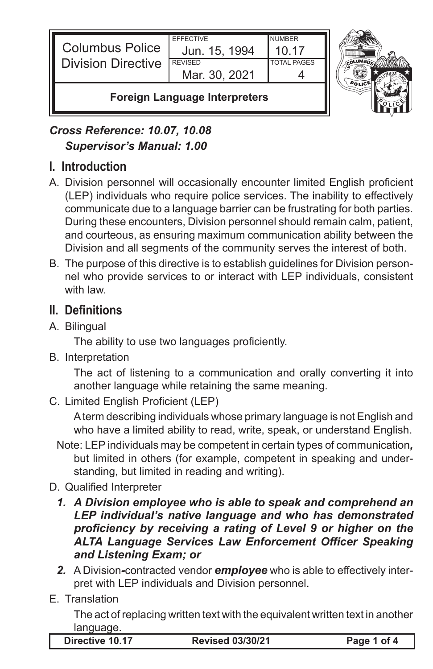



### *Cross Reference: 10.07, 10.08 Supervisor's Manual: 1.00*

## **I. Introduction**

- A. Division personnel will occasionally encounter limited English proficient (LEP) individuals who require police services. The inability to effectively communicate due to a language barrier can be frustrating for both parties. During these encounters, Division personnel should remain calm, patient, and courteous, as ensuring maximum communication ability between the Division and all segments of the community serves the interest of both.
- B. The purpose of this directive is to establish guidelines for Division personnel who provide services to or interact with LEP individuals, consistent with law.

# **II. Definitions**

A. Bilingual

 The ability to use two languages proficiently.

B. Interpretation

The act of listening to a communication and orally converting it into another language while retaining the same meaning.

C. Limited English Proficient (LEP)

A term describing individuals whose primary language is not English and who have a limited ability to read, write, speak, or understand English.

- Note: LEP individuals may be competent in certain types of communication*,* but limited in others (for example, competent in speaking and understanding, but limited in reading and writing).
- D. Qualified Interpreter
	- *1. A Division employee who is able to speak and comprehend an LEP individual's native language and who has demonstrated proficiency by receiving a rating of Level 9 or higher on the ALTA Language Services Law Enforcement Officer Speaking and Listening Exam; or*
	- *2.* A Division*-*contracted vendor *employee* who is able to effectively interpret with LEP individuals and Division personnel.
- E. Translation

The act of replacing written text with the equivalent written text in another language.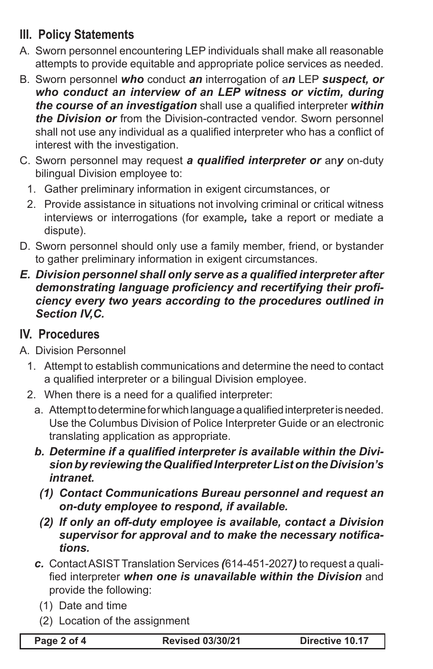## **III. Policy Statements**

- A. Sworn personnel encountering LEP individuals shall make all reasonable attempts to provide equitable and appropriate police services as needed.
- B. Sworn personnel *who* conduct *an* interrogation of a*n* LEP *suspect, or who conduct an interview of an LEP witness or victim, during the course of an investigation* shall use a qualified interpreter *within the Division or* from the Division-contracted vendor. Sworn personnel shall not use any individual as a qualified interpreter who has a conflict of interest with the investigation.
- C. Sworn personnel may request *a qualified interpreter or* an*y* on-duty bilingual Division employee to:
	- 1. Gather preliminary information in exigent circumstances, or
	- 2. Provide assistance in situations not involving criminal or critical witness interviews or interrogations (for example*,* take a report or mediate a dispute).
- D. Sworn personnel should only use a family member, friend, or bystander to gather preliminary information in exigent circumstances.
- *E. Division personnel shall only serve as a qualified interpreter after demonstrating language proficiency and recertifying their proficiency every two years according to the procedures outlined in Section IV,C.*

#### **IV. Procedures**

- A. Division Personnel
	- 1. Attempt to establish communications and determine the need to contact a qualified interpreter or a bilingual Division employee.
	- 2. When there is a need for a qualified interpreter:
		- a. Attempt to determine for which language a qualified interpreter is needed. Use the Columbus Division of Police Interpreter Guide or an electronic translating application as appropriate.
		- *b. Determine if a qualified interpreter is available within the Division by reviewing the Qualified Interpreter List on the Division's intranet.*
			- *(1) Contact Communications Bureau personnel and request an on-duty employee to respond, if available.*
			- *(2) If only an off-duty employee is available, contact a Division supervisor for approval and to make the necessary notifications.*
		- *c.* Contact ASIST Translation Services *(*614-451-2027*)* to request a qualified interpreter *when one is unavailable within the Division* and provide the following:
			- (1) Date and time
			- (2) Location of the assignment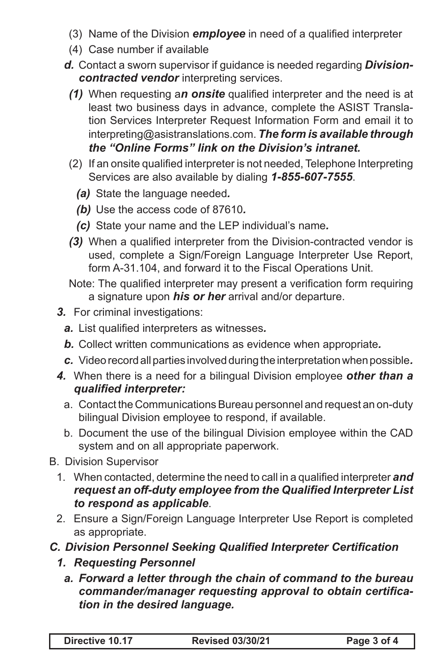- (3) Name of the Division *employee* in need of a qualified interpreter
- (4) Case number if available
- *d.* Contact a sworn supervisor if guidance is needed regarding *Divisioncontracted vendor* interpreting services.
	- *(1)* When requesting a*n onsite* qualified interpreter and the need is at least two business days in advance, complete the ASIST Translation Services Interpreter Request Information Form and email it to interpreting@asistranslations.com. *The form is available through the "Online Forms" link on the Division's intranet.*
	- (2) If an onsite qualified interpreter is not needed, Telephone Interpreting Services are also available by dialing *1-855-607-7555*.
		- *(a)* State the language needed*.*
		- *(b)* Use the access code of 87610*.*
		- *(c)* State your name and the LEP individual's name*.*
	- **(3)** When a qualified interpreter from the Division-contracted vendor is used, complete a Sign/Foreign Language Interpreter Use Report, form A-31.104, and forward it to the Fiscal Operations Unit.
	- Note: The qualified interpreter may present a verification form requiring a signature upon *his or her* arrival and/or departure.
- *3.* For criminal investigations:
	- *a.* List qualified interpreters as witnesses*.*
	- *b.* Collect written communications as evidence when appropriate*.*
	- *c.* Video record all parties involved during the interpretation when possible*.*
- *4.* When there is a need for a bilingual Division employee *other than a qualified interpreter:*
	- a. Contact the Communications Bureau personnel and request an on-duty bilingual Division employee to respond, if available.
	- b. Document the use of the bilingual Division employee within the CAD system and on all appropriate paperwork.
- B. Division Supervisor
	- 1. When contacted, determine the need to call in a qualified interpreter **and** *request an off-duty employee from the Qualified Interpreter List to respond as applicable*.
	- 2. Ensure a Sign/Foreign Language Interpreter Use Report is completed as appropriate.
- *C. Division Personnel Seeking Qualified Interpreter Certification*
	- *1. Requesting Personnel*
		- *a. Forward a letter through the chain of command to the bureau commander/manager requesting approval to obtain certification in the desired language.*